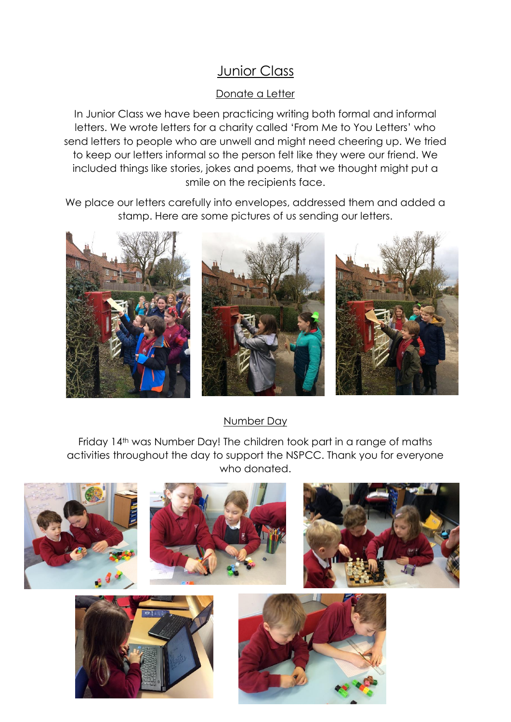# Junior Class

# Donate a Letter

In Junior Class we have been practicing writing both formal and informal letters. We wrote letters for a charity called 'From Me to You Letters' who send letters to people who are unwell and might need cheering up. We tried to keep our letters informal so the person felt like they were our friend. We included things like stories, jokes and poems, that we thought might put a smile on the recipients face.

We place our letters carefully into envelopes, addressed them and added a stamp. Here are some pictures of us sending our letters.



## Number Day

Friday 14th was Number Day! The children took part in a range of maths activities throughout the day to support the NSPCC. Thank you for everyone who donated.

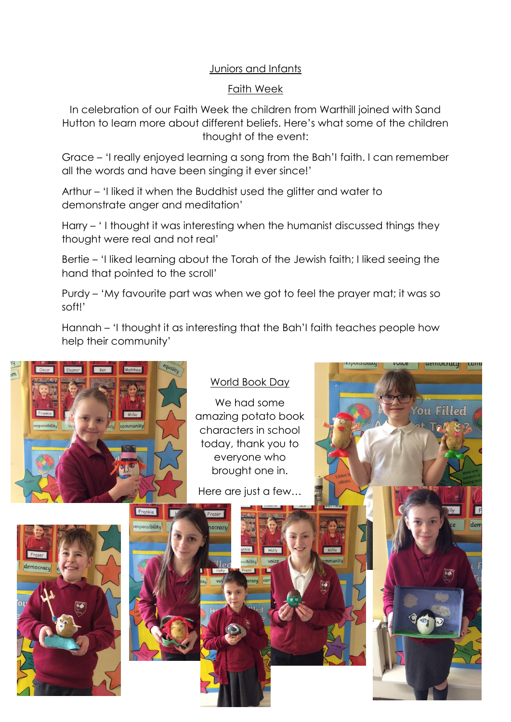#### Juniors and Infants

#### Faith Week

In celebration of our Faith Week the children from Warthill joined with Sand Hutton to learn more about different beliefs. Here's what some of the children thought of the event:

Grace – 'I really enjoyed learning a song from the Bah'I faith. I can remember all the words and have been singing it ever since!'

Arthur – 'I liked it when the Buddhist used the glitter and water to demonstrate anger and meditation'

Harry – ' I thought it was interesting when the humanist discussed things they thought were real and not real'

Bertie – 'I liked learning about the Torah of the Jewish faith; I liked seeing the hand that pointed to the scroll'

Purdy – 'My favourite part was when we got to feel the prayer mat; it was so soft!'

Hannah – 'I thought it as interesting that the Bah'I faith teaches people how help their community'



esponsibility

## World Book Day

We had some amazing potato book characters in school today, thank you to everyone who brought one in.

You Filled

Here are just a few…